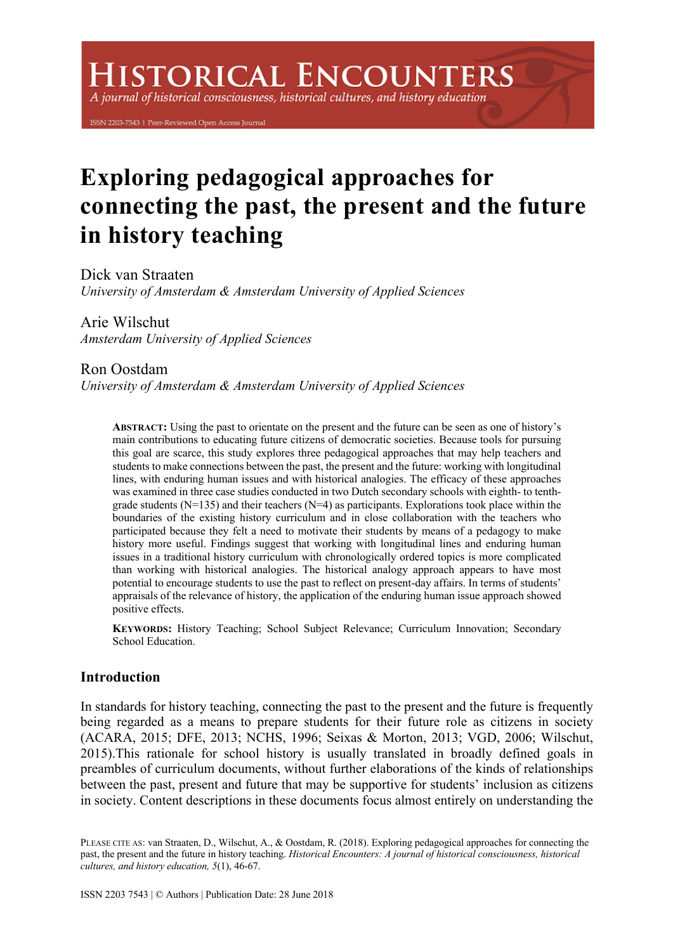A journal of historical consciousness, historical cultures, and history education

ISSN 2203-7543 | Peer-Reviewed Open Access Journal

# **Exploring pedagogical approaches for connecting the past, the present and the future in history teaching**

Dick van Straaten *University of Amsterdam & Amsterdam University of Applied Sciences*

Arie Wilschut *Amsterdam University of Applied Sciences*

# Ron Oostdam

*University of Amsterdam & Amsterdam University of Applied Sciences*

**ABSTRACT:** Using the past to orientate on the present and the future can be seen as one of history's main contributions to educating future citizens of democratic societies. Because tools for pursuing this goal are scarce, this study explores three pedagogical approaches that may help teachers and students to make connections between the past, the present and the future: working with longitudinal lines, with enduring human issues and with historical analogies. The efficacy of these approaches was examined in three case studies conducted in two Dutch secondary schools with eighth- to tenthgrade students ( $N=135$ ) and their teachers ( $N=4$ ) as participants. Explorations took place within the boundaries of the existing history curriculum and in close collaboration with the teachers who participated because they felt a need to motivate their students by means of a pedagogy to make history more useful. Findings suggest that working with longitudinal lines and enduring human issues in a traditional history curriculum with chronologically ordered topics is more complicated than working with historical analogies. The historical analogy approach appears to have most potential to encourage students to use the past to reflect on present-day affairs. In terms of students' appraisals of the relevance of history, the application of the enduring human issue approach showed positive effects.

**KEYWORDS:** History Teaching; School Subject Relevance; Curriculum Innovation; Secondary School Education.

# **Introduction**

In standards for history teaching, connecting the past to the present and the future is frequently being regarded as a means to prepare students for their future role as citizens in society (ACARA, 2015; DFE, 2013; NCHS, 1996; Seixas & Morton, 2013; VGD, 2006; Wilschut, 2015).This rationale for school history is usually translated in broadly defined goals in preambles of curriculum documents, without further elaborations of the kinds of relationships between the past, present and future that may be supportive for students' inclusion as citizens in society. Content descriptions in these documents focus almost entirely on understanding the

PLEASE CITE AS: van Straaten, D., Wilschut, A., & Oostdam, R. (2018). Exploring pedagogical approaches for connecting the past, the present and the future in history teaching. *Historical Encounters: A journal of historical consciousness, historical cultures, and history education, 5*(1), 46-67.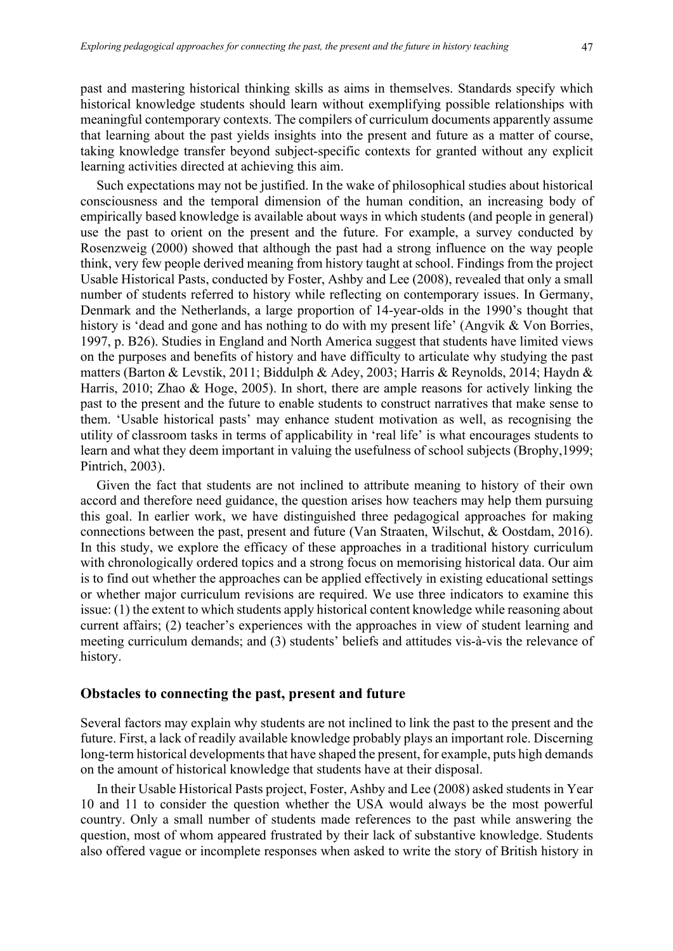past and mastering historical thinking skills as aims in themselves. Standards specify which historical knowledge students should learn without exemplifying possible relationships with meaningful contemporary contexts. The compilers of curriculum documents apparently assume that learning about the past yields insights into the present and future as a matter of course, taking knowledge transfer beyond subject-specific contexts for granted without any explicit learning activities directed at achieving this aim.

Such expectations may not be justified. In the wake of philosophical studies about historical consciousness and the temporal dimension of the human condition, an increasing body of empirically based knowledge is available about ways in which students (and people in general) use the past to orient on the present and the future. For example, a survey conducted by Rosenzweig (2000) showed that although the past had a strong influence on the way people think, very few people derived meaning from history taught at school. Findings from the project Usable Historical Pasts, conducted by Foster, Ashby and Lee (2008), revealed that only a small number of students referred to history while reflecting on contemporary issues. In Germany, Denmark and the Netherlands, a large proportion of 14-year-olds in the 1990's thought that history is 'dead and gone and has nothing to do with my present life' (Angvik & Von Borries, 1997, p. B26). Studies in England and North America suggest that students have limited views on the purposes and benefits of history and have difficulty to articulate why studying the past matters (Barton & Levstik, 2011; Biddulph & Adey, 2003; Harris & Reynolds, 2014; Haydn & Harris, 2010; Zhao & Hoge, 2005). In short, there are ample reasons for actively linking the past to the present and the future to enable students to construct narratives that make sense to them. 'Usable historical pasts' may enhance student motivation as well, as recognising the utility of classroom tasks in terms of applicability in 'real life' is what encourages students to learn and what they deem important in valuing the usefulness of school subjects (Brophy,1999; Pintrich, 2003).

Given the fact that students are not inclined to attribute meaning to history of their own accord and therefore need guidance, the question arises how teachers may help them pursuing this goal. In earlier work, we have distinguished three pedagogical approaches for making connections between the past, present and future (Van Straaten, Wilschut, & Oostdam, 2016). In this study, we explore the efficacy of these approaches in a traditional history curriculum with chronologically ordered topics and a strong focus on memorising historical data. Our aim is to find out whether the approaches can be applied effectively in existing educational settings or whether major curriculum revisions are required. We use three indicators to examine this issue: (1) the extent to which students apply historical content knowledge while reasoning about current affairs; (2) teacher's experiences with the approaches in view of student learning and meeting curriculum demands; and (3) students' beliefs and attitudes vis-à-vis the relevance of history.

### **Obstacles to connecting the past, present and future**

Several factors may explain why students are not inclined to link the past to the present and the future. First, a lack of readily available knowledge probably plays an important role. Discerning long-term historical developments that have shaped the present, for example, puts high demands on the amount of historical knowledge that students have at their disposal.

In their Usable Historical Pasts project, Foster, Ashby and Lee (2008) asked students in Year 10 and 11 to consider the question whether the USA would always be the most powerful country. Only a small number of students made references to the past while answering the question, most of whom appeared frustrated by their lack of substantive knowledge. Students also offered vague or incomplete responses when asked to write the story of British history in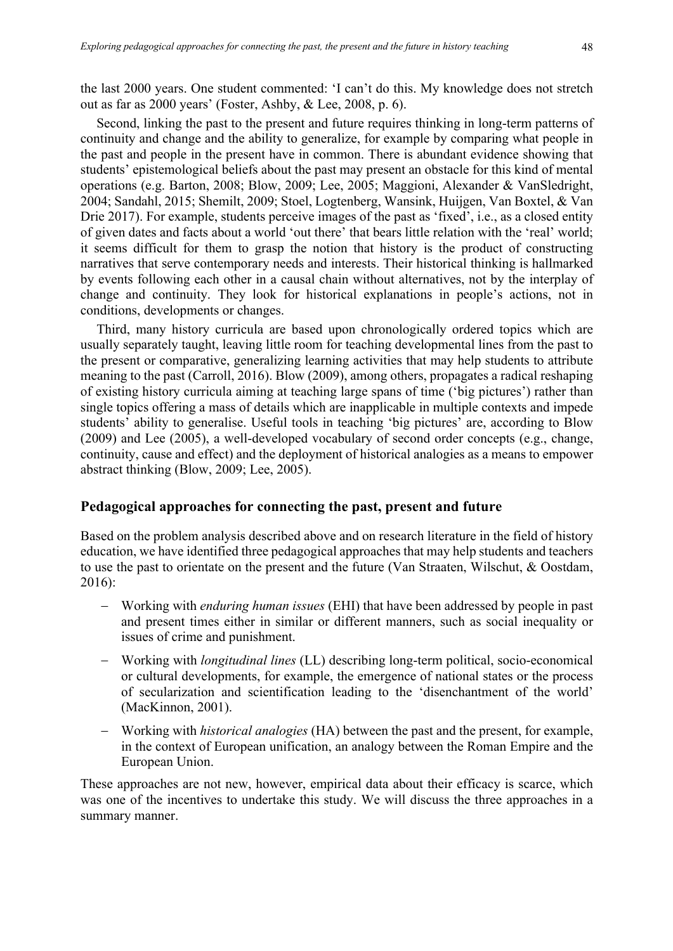the last 2000 years. One student commented: 'I can't do this. My knowledge does not stretch out as far as 2000 years' (Foster, Ashby, & Lee, 2008, p. 6).

Second, linking the past to the present and future requires thinking in long-term patterns of continuity and change and the ability to generalize, for example by comparing what people in the past and people in the present have in common. There is abundant evidence showing that students' epistemological beliefs about the past may present an obstacle for this kind of mental operations (e.g. Barton, 2008; Blow, 2009; Lee, 2005; Maggioni, Alexander & VanSledright, 2004; Sandahl, 2015; Shemilt, 2009; Stoel, Logtenberg, Wansink, Huijgen, Van Boxtel, & Van Drie 2017). For example, students perceive images of the past as 'fixed', i.e., as a closed entity of given dates and facts about a world 'out there' that bears little relation with the 'real' world; it seems difficult for them to grasp the notion that history is the product of constructing narratives that serve contemporary needs and interests. Their historical thinking is hallmarked by events following each other in a causal chain without alternatives, not by the interplay of change and continuity. They look for historical explanations in people's actions, not in conditions, developments or changes.

Third, many history curricula are based upon chronologically ordered topics which are usually separately taught, leaving little room for teaching developmental lines from the past to the present or comparative, generalizing learning activities that may help students to attribute meaning to the past (Carroll, 2016). Blow (2009), among others, propagates a radical reshaping of existing history curricula aiming at teaching large spans of time ('big pictures') rather than single topics offering a mass of details which are inapplicable in multiple contexts and impede students' ability to generalise. Useful tools in teaching 'big pictures' are, according to Blow (2009) and Lee (2005), a well-developed vocabulary of second order concepts (e.g., change, continuity, cause and effect) and the deployment of historical analogies as a means to empower abstract thinking (Blow, 2009; Lee, 2005).

### **Pedagogical approaches for connecting the past, present and future**

Based on the problem analysis described above and on research literature in the field of history education, we have identified three pedagogical approaches that may help students and teachers to use the past to orientate on the present and the future (Van Straaten, Wilschut, & Oostdam, 2016):

- Working with *enduring human issues* (EHI) that have been addressed by people in past and present times either in similar or different manners, such as social inequality or issues of crime and punishment.
- Working with *longitudinal lines* (LL) describing long-term political, socio-economical or cultural developments, for example, the emergence of national states or the process of secularization and scientification leading to the 'disenchantment of the world' (MacKinnon, 2001).
- Working with *historical analogies* (HA) between the past and the present, for example, in the context of European unification, an analogy between the Roman Empire and the European Union.

These approaches are not new, however, empirical data about their efficacy is scarce, which was one of the incentives to undertake this study. We will discuss the three approaches in a summary manner.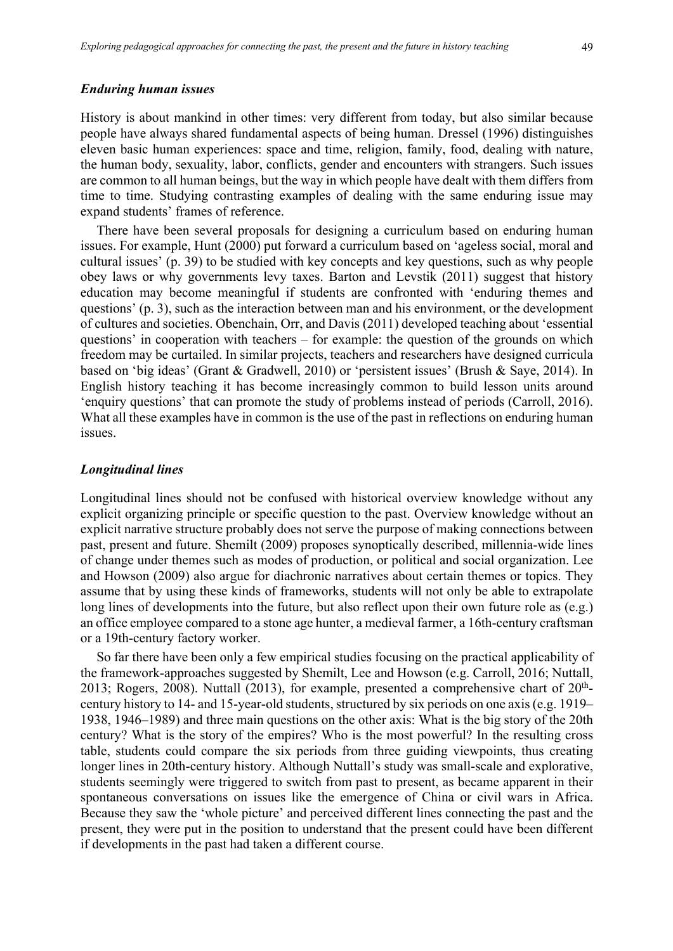#### *Enduring human issues*

History is about mankind in other times: very different from today, but also similar because people have always shared fundamental aspects of being human. Dressel (1996) distinguishes eleven basic human experiences: space and time, religion, family, food, dealing with nature, the human body, sexuality, labor, conflicts, gender and encounters with strangers. Such issues are common to all human beings, but the way in which people have dealt with them differs from time to time. Studying contrasting examples of dealing with the same enduring issue may expand students' frames of reference.

There have been several proposals for designing a curriculum based on enduring human issues. For example, Hunt (2000) put forward a curriculum based on 'ageless social, moral and cultural issues' (p. 39) to be studied with key concepts and key questions, such as why people obey laws or why governments levy taxes. Barton and Levstik (2011) suggest that history education may become meaningful if students are confronted with 'enduring themes and questions' (p. 3), such as the interaction between man and his environment, or the development of cultures and societies. Obenchain, Orr, and Davis (2011) developed teaching about 'essential questions' in cooperation with teachers – for example: the question of the grounds on which freedom may be curtailed. In similar projects, teachers and researchers have designed curricula based on 'big ideas' (Grant & Gradwell, 2010) or 'persistent issues' (Brush & Saye, 2014). In English history teaching it has become increasingly common to build lesson units around 'enquiry questions' that can promote the study of problems instead of periods (Carroll, 2016). What all these examples have in common is the use of the past in reflections on enduring human issues.

#### *Longitudinal lines*

Longitudinal lines should not be confused with historical overview knowledge without any explicit organizing principle or specific question to the past. Overview knowledge without an explicit narrative structure probably does not serve the purpose of making connections between past, present and future. Shemilt (2009) proposes synoptically described, millennia-wide lines of change under themes such as modes of production, or political and social organization. Lee and Howson (2009) also argue for diachronic narratives about certain themes or topics. They assume that by using these kinds of frameworks, students will not only be able to extrapolate long lines of developments into the future, but also reflect upon their own future role as (e.g.) an office employee compared to a stone age hunter, a medieval farmer, a 16th-century craftsman or a 19th-century factory worker.

So far there have been only a few empirical studies focusing on the practical applicability of the framework-approaches suggested by Shemilt, Lee and Howson (e.g. Carroll, 2016; Nuttall, 2013; Rogers, 2008). Nuttall (2013), for example, presented a comprehensive chart of  $20<sup>th</sup>$ century history to 14- and 15-year-old students, structured by six periods on one axis (e.g. 1919– 1938, 1946–1989) and three main questions on the other axis: What is the big story of the 20th century? What is the story of the empires? Who is the most powerful? In the resulting cross table, students could compare the six periods from three guiding viewpoints, thus creating longer lines in 20th-century history. Although Nuttall's study was small-scale and explorative, students seemingly were triggered to switch from past to present, as became apparent in their spontaneous conversations on issues like the emergence of China or civil wars in Africa. Because they saw the 'whole picture' and perceived different lines connecting the past and the present, they were put in the position to understand that the present could have been different if developments in the past had taken a different course.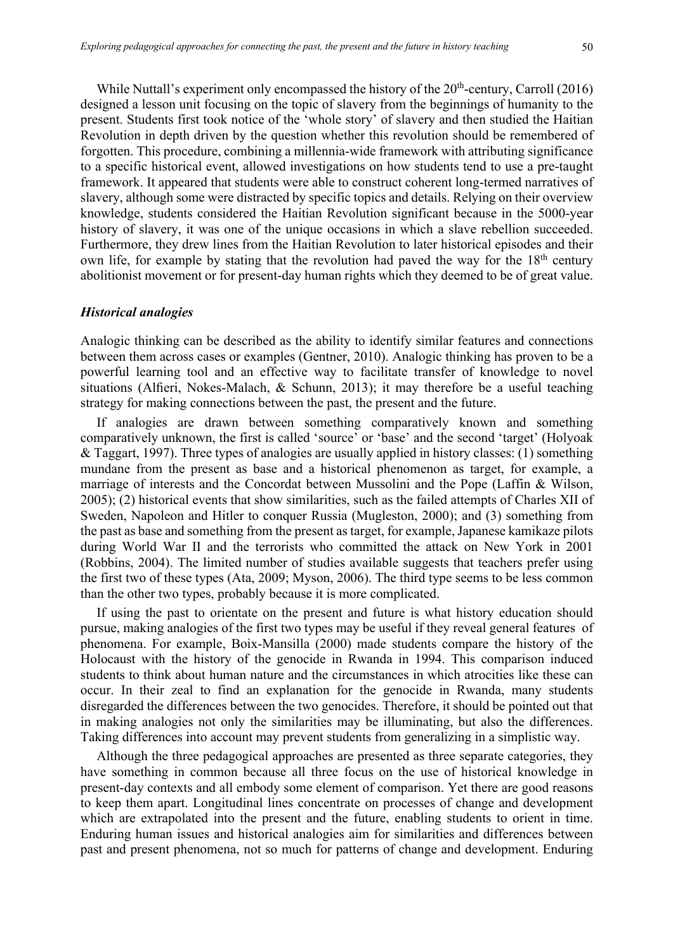While Nuttall's experiment only encompassed the history of the  $20<sup>th</sup>$ -century, Carroll (2016) designed a lesson unit focusing on the topic of slavery from the beginnings of humanity to the present. Students first took notice of the 'whole story' of slavery and then studied the Haitian Revolution in depth driven by the question whether this revolution should be remembered of forgotten. This procedure, combining a millennia-wide framework with attributing significance to a specific historical event, allowed investigations on how students tend to use a pre-taught framework. It appeared that students were able to construct coherent long-termed narratives of slavery, although some were distracted by specific topics and details. Relying on their overview knowledge, students considered the Haitian Revolution significant because in the 5000-year history of slavery, it was one of the unique occasions in which a slave rebellion succeeded. Furthermore, they drew lines from the Haitian Revolution to later historical episodes and their own life, for example by stating that the revolution had paved the way for the 18<sup>th</sup> century abolitionist movement or for present-day human rights which they deemed to be of great value.

#### *Historical analogies*

Analogic thinking can be described as the ability to identify similar features and connections between them across cases or examples (Gentner, 2010). Analogic thinking has proven to be a powerful learning tool and an effective way to facilitate transfer of knowledge to novel situations (Alfieri, Nokes-Malach, & Schunn, 2013); it may therefore be a useful teaching strategy for making connections between the past, the present and the future.

If analogies are drawn between something comparatively known and something comparatively unknown, the first is called 'source' or 'base' and the second 'target' (Holyoak & Taggart, 1997). Three types of analogies are usually applied in history classes: (1) something mundane from the present as base and a historical phenomenon as target, for example, a marriage of interests and the Concordat between Mussolini and the Pope (Laffin & Wilson, 2005); (2) historical events that show similarities, such as the failed attempts of Charles XII of Sweden, Napoleon and Hitler to conquer Russia (Mugleston, 2000); and (3) something from the past as base and something from the present as target, for example, Japanese kamikaze pilots during World War II and the terrorists who committed the attack on New York in 2001 (Robbins, 2004). The limited number of studies available suggests that teachers prefer using the first two of these types (Ata, 2009; Myson, 2006). The third type seems to be less common than the other two types, probably because it is more complicated.

If using the past to orientate on the present and future is what history education should pursue, making analogies of the first two types may be useful if they reveal general features of phenomena. For example, Boix-Mansilla (2000) made students compare the history of the Holocaust with the history of the genocide in Rwanda in 1994. This comparison induced students to think about human nature and the circumstances in which atrocities like these can occur. In their zeal to find an explanation for the genocide in Rwanda, many students disregarded the differences between the two genocides. Therefore, it should be pointed out that in making analogies not only the similarities may be illuminating, but also the differences. Taking differences into account may prevent students from generalizing in a simplistic way.

Although the three pedagogical approaches are presented as three separate categories, they have something in common because all three focus on the use of historical knowledge in present-day contexts and all embody some element of comparison. Yet there are good reasons to keep them apart. Longitudinal lines concentrate on processes of change and development which are extrapolated into the present and the future, enabling students to orient in time. Enduring human issues and historical analogies aim for similarities and differences between past and present phenomena, not so much for patterns of change and development. Enduring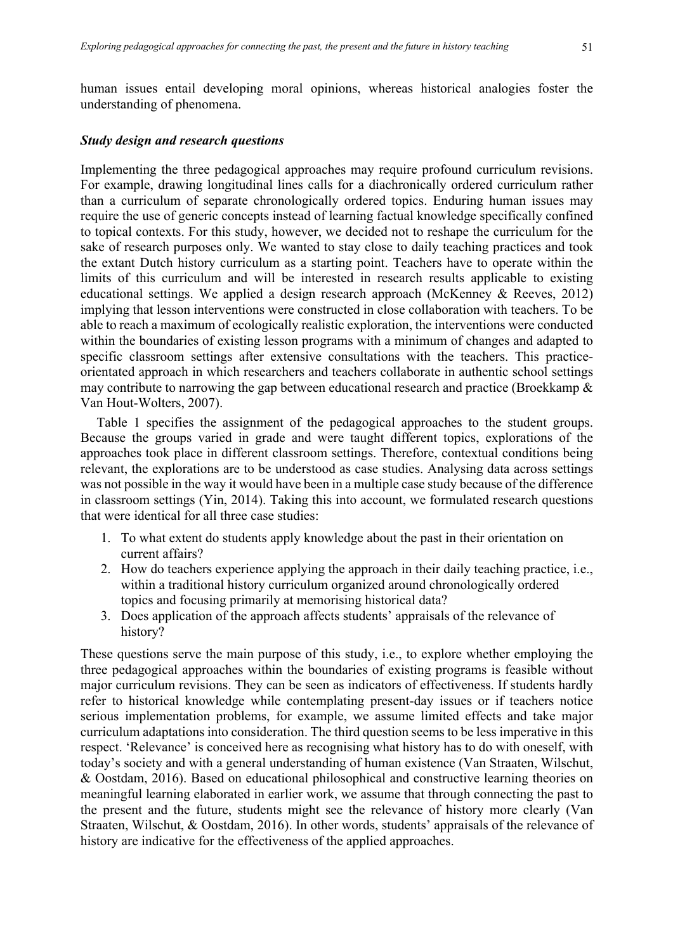human issues entail developing moral opinions, whereas historical analogies foster the understanding of phenomena.

#### *Study design and research questions*

Implementing the three pedagogical approaches may require profound curriculum revisions. For example, drawing longitudinal lines calls for a diachronically ordered curriculum rather than a curriculum of separate chronologically ordered topics. Enduring human issues may require the use of generic concepts instead of learning factual knowledge specifically confined to topical contexts. For this study, however, we decided not to reshape the curriculum for the sake of research purposes only. We wanted to stay close to daily teaching practices and took the extant Dutch history curriculum as a starting point. Teachers have to operate within the limits of this curriculum and will be interested in research results applicable to existing educational settings. We applied a design research approach (McKenney & Reeves, 2012) implying that lesson interventions were constructed in close collaboration with teachers. To be able to reach a maximum of ecologically realistic exploration, the interventions were conducted within the boundaries of existing lesson programs with a minimum of changes and adapted to specific classroom settings after extensive consultations with the teachers. This practiceorientated approach in which researchers and teachers collaborate in authentic school settings may contribute to narrowing the gap between educational research and practice (Broekkamp & Van Hout-Wolters, 2007).

Table 1 specifies the assignment of the pedagogical approaches to the student groups. Because the groups varied in grade and were taught different topics, explorations of the approaches took place in different classroom settings. Therefore, contextual conditions being relevant, the explorations are to be understood as case studies. Analysing data across settings was not possible in the way it would have been in a multiple case study because of the difference in classroom settings (Yin, 2014). Taking this into account, we formulated research questions that were identical for all three case studies:

- 1. To what extent do students apply knowledge about the past in their orientation on current affairs?
- 2. How do teachers experience applying the approach in their daily teaching practice, i.e., within a traditional history curriculum organized around chronologically ordered topics and focusing primarily at memorising historical data?
- 3. Does application of the approach affects students' appraisals of the relevance of history?

These questions serve the main purpose of this study, i.e., to explore whether employing the three pedagogical approaches within the boundaries of existing programs is feasible without major curriculum revisions. They can be seen as indicators of effectiveness. If students hardly refer to historical knowledge while contemplating present-day issues or if teachers notice serious implementation problems, for example, we assume limited effects and take major curriculum adaptations into consideration. The third question seems to be less imperative in this respect. 'Relevance' is conceived here as recognising what history has to do with oneself, with today's society and with a general understanding of human existence (Van Straaten, Wilschut, & Oostdam, 2016). Based on educational philosophical and constructive learning theories on meaningful learning elaborated in earlier work, we assume that through connecting the past to the present and the future, students might see the relevance of history more clearly (Van Straaten, Wilschut, & Oostdam, 2016). In other words, students' appraisals of the relevance of history are indicative for the effectiveness of the applied approaches.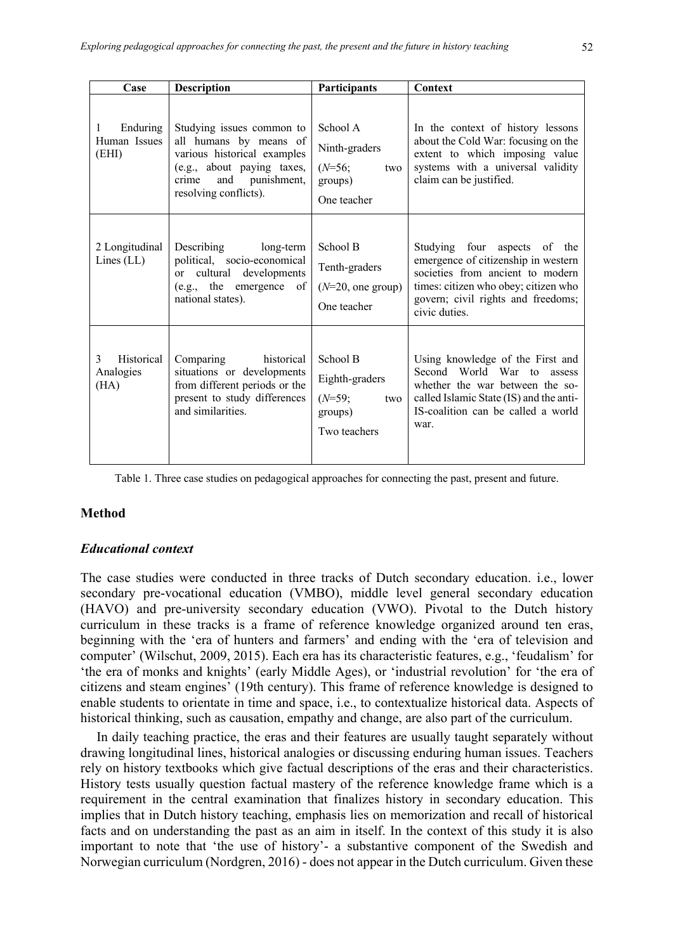| Case                                   | <b>Description</b>                                                                                                                                                    | Participants                                                             | Context                                                                                                                                                                                                |
|----------------------------------------|-----------------------------------------------------------------------------------------------------------------------------------------------------------------------|--------------------------------------------------------------------------|--------------------------------------------------------------------------------------------------------------------------------------------------------------------------------------------------------|
| Enduring<br>1<br>Human Issues<br>(EHI) | Studying issues common to<br>all humans by means of<br>various historical examples<br>(e.g., about paying taxes,<br>and punishment,<br>crime<br>resolving conflicts). | School A<br>Ninth-graders<br>$(N=56;$<br>two<br>groups)<br>One teacher   | In the context of history lessons<br>about the Cold War: focusing on the<br>extent to which imposing value<br>systems with a universal validity<br>claim can be justified.                             |
| 2 Longitudinal<br>Lines $(LL)$         | Describing<br>long-term<br>political, socio-economical<br>or cultural developments<br>(e.g., the emergence<br>of<br>national states).                                 | School B<br>Tenth-graders<br>$(N=20,$ one group)<br>One teacher          | Studying four aspects of the<br>emergence of citizenship in western<br>societies from ancient to modern<br>times: citizen who obey; citizen who<br>govern; civil rights and freedoms;<br>civic duties. |
| Historical<br>3<br>Analogies<br>(HA)   | Comparing<br>historical<br>situations or developments<br>from different periods or the<br>present to study differences<br>and similarities.                           | School B<br>Eighth-graders<br>$(N=59;$<br>two<br>groups)<br>Two teachers | Using knowledge of the First and<br>Second World War to<br>assess<br>whether the war between the so-<br>called Islamic State (IS) and the anti-<br>IS-coalition can be called a world<br>war.          |

Table 1. Three case studies on pedagogical approaches for connecting the past, present and future.

## **Method**

## *Educational context*

The case studies were conducted in three tracks of Dutch secondary education. i.e., lower secondary pre-vocational education (VMBO), middle level general secondary education (HAVO) and pre-university secondary education (VWO). Pivotal to the Dutch history curriculum in these tracks is a frame of reference knowledge organized around ten eras, beginning with the 'era of hunters and farmers' and ending with the 'era of television and computer' (Wilschut, 2009, 2015). Each era has its characteristic features, e.g., 'feudalism' for 'the era of monks and knights' (early Middle Ages), or 'industrial revolution' for 'the era of citizens and steam engines' (19th century). This frame of reference knowledge is designed to enable students to orientate in time and space, i.e., to contextualize historical data. Aspects of historical thinking, such as causation, empathy and change, are also part of the curriculum.

In daily teaching practice, the eras and their features are usually taught separately without drawing longitudinal lines, historical analogies or discussing enduring human issues. Teachers rely on history textbooks which give factual descriptions of the eras and their characteristics. History tests usually question factual mastery of the reference knowledge frame which is a requirement in the central examination that finalizes history in secondary education. This implies that in Dutch history teaching, emphasis lies on memorization and recall of historical facts and on understanding the past as an aim in itself. In the context of this study it is also important to note that 'the use of history'- a substantive component of the Swedish and Norwegian curriculum (Nordgren, 2016) - does not appear in the Dutch curriculum. Given these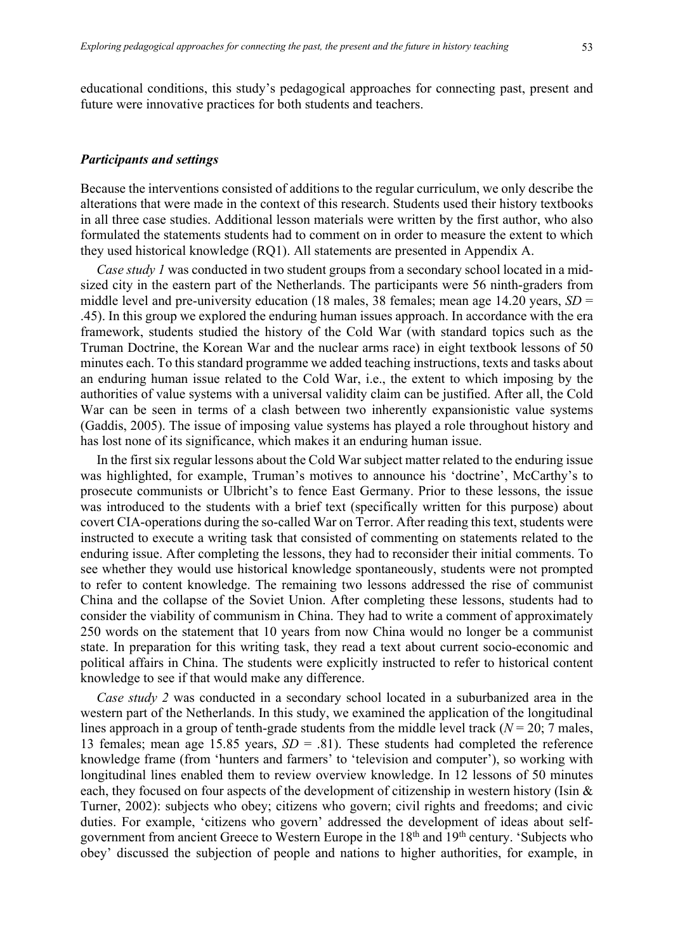educational conditions, this study's pedagogical approaches for connecting past, present and future were innovative practices for both students and teachers.

#### *Participants and settings*

Because the interventions consisted of additions to the regular curriculum, we only describe the alterations that were made in the context of this research. Students used their history textbooks in all three case studies. Additional lesson materials were written by the first author, who also formulated the statements students had to comment on in order to measure the extent to which they used historical knowledge (RQ1). All statements are presented in Appendix A.

*Case study 1* was conducted in two student groups from a secondary school located in a midsized city in the eastern part of the Netherlands. The participants were 56 ninth-graders from middle level and pre-university education (18 males, 38 females; mean age 14.20 years, *SD* = .45). In this group we explored the enduring human issues approach. In accordance with the era framework, students studied the history of the Cold War (with standard topics such as the Truman Doctrine, the Korean War and the nuclear arms race) in eight textbook lessons of 50 minutes each. To this standard programme we added teaching instructions, texts and tasks about an enduring human issue related to the Cold War, i.e., the extent to which imposing by the authorities of value systems with a universal validity claim can be justified. After all, the Cold War can be seen in terms of a clash between two inherently expansionistic value systems (Gaddis, 2005). The issue of imposing value systems has played a role throughout history and has lost none of its significance, which makes it an enduring human issue.

In the first six regular lessons about the Cold War subject matter related to the enduring issue was highlighted, for example, Truman's motives to announce his 'doctrine', McCarthy's to prosecute communists or Ulbricht's to fence East Germany. Prior to these lessons, the issue was introduced to the students with a brief text (specifically written for this purpose) about covert CIA-operations during the so-called War on Terror. After reading this text, students were instructed to execute a writing task that consisted of commenting on statements related to the enduring issue. After completing the lessons, they had to reconsider their initial comments. To see whether they would use historical knowledge spontaneously, students were not prompted to refer to content knowledge. The remaining two lessons addressed the rise of communist China and the collapse of the Soviet Union. After completing these lessons, students had to consider the viability of communism in China. They had to write a comment of approximately 250 words on the statement that 10 years from now China would no longer be a communist state. In preparation for this writing task, they read a text about current socio-economic and political affairs in China. The students were explicitly instructed to refer to historical content knowledge to see if that would make any difference.

*Case study 2* was conducted in a secondary school located in a suburbanized area in the western part of the Netherlands. In this study, we examined the application of the longitudinal lines approach in a group of tenth-grade students from the middle level track ( $N = 20$ ; 7 males, 13 females; mean age 15.85 years, *SD* = .81). These students had completed the reference knowledge frame (from 'hunters and farmers' to 'television and computer'), so working with longitudinal lines enabled them to review overview knowledge. In 12 lessons of 50 minutes each, they focused on four aspects of the development of citizenship in western history (Isin & Turner, 2002): subjects who obey; citizens who govern; civil rights and freedoms; and civic duties. For example, 'citizens who govern' addressed the development of ideas about selfgovernment from ancient Greece to Western Europe in the 18<sup>th</sup> and 19<sup>th</sup> century. 'Subjects who obey' discussed the subjection of people and nations to higher authorities, for example, in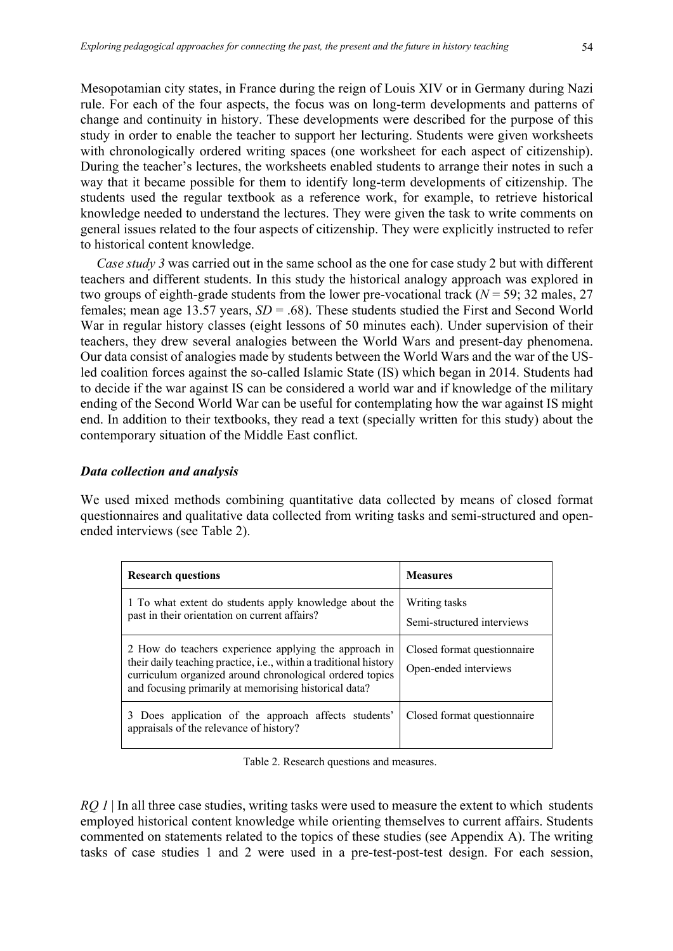Mesopotamian city states, in France during the reign of Louis XIV or in Germany during Nazi rule. For each of the four aspects, the focus was on long-term developments and patterns of change and continuity in history. These developments were described for the purpose of this study in order to enable the teacher to support her lecturing. Students were given worksheets with chronologically ordered writing spaces (one worksheet for each aspect of citizenship). During the teacher's lectures, the worksheets enabled students to arrange their notes in such a way that it became possible for them to identify long-term developments of citizenship. The students used the regular textbook as a reference work, for example, to retrieve historical knowledge needed to understand the lectures. They were given the task to write comments on general issues related to the four aspects of citizenship. They were explicitly instructed to refer to historical content knowledge.

*Case study 3* was carried out in the same school as the one for case study 2 but with different teachers and different students. In this study the historical analogy approach was explored in two groups of eighth-grade students from the lower pre-vocational track (*N* = 59; 32 males, 27 females; mean age 13.57 years, *SD* = .68). These students studied the First and Second World War in regular history classes (eight lessons of 50 minutes each). Under supervision of their teachers, they drew several analogies between the World Wars and present-day phenomena. Our data consist of analogies made by students between the World Wars and the war of the USled coalition forces against the so-called Islamic State (IS) which began in 2014. Students had to decide if the war against IS can be considered a world war and if knowledge of the military ending of the Second World War can be useful for contemplating how the war against IS might end. In addition to their textbooks, they read a text (specially written for this study) about the contemporary situation of the Middle East conflict.

#### *Data collection and analysis*

We used mixed methods combining quantitative data collected by means of closed format questionnaires and qualitative data collected from writing tasks and semi-structured and openended interviews (see Table 2).

| <b>Research questions</b>                                                                                                                                                                                                                       | <b>Measures</b>                                      |
|-------------------------------------------------------------------------------------------------------------------------------------------------------------------------------------------------------------------------------------------------|------------------------------------------------------|
| 1 To what extent do students apply knowledge about the<br>past in their orientation on current affairs?                                                                                                                                         | Writing tasks<br>Semi-structured interviews          |
| 2 How do teachers experience applying the approach in<br>their daily teaching practice, i.e., within a traditional history<br>curriculum organized around chronological ordered topics<br>and focusing primarily at memorising historical data? | Closed format questionnaire<br>Open-ended interviews |
| 3 Does application of the approach affects students'<br>appraisals of the relevance of history?                                                                                                                                                 | Closed format questionnaire                          |

Table 2. Research questions and measures.

*RQ 1* | In all three case studies, writing tasks were used to measure the extent to which students employed historical content knowledge while orienting themselves to current affairs. Students commented on statements related to the topics of these studies (see Appendix A). The writing tasks of case studies 1 and 2 were used in a pre-test-post-test design. For each session,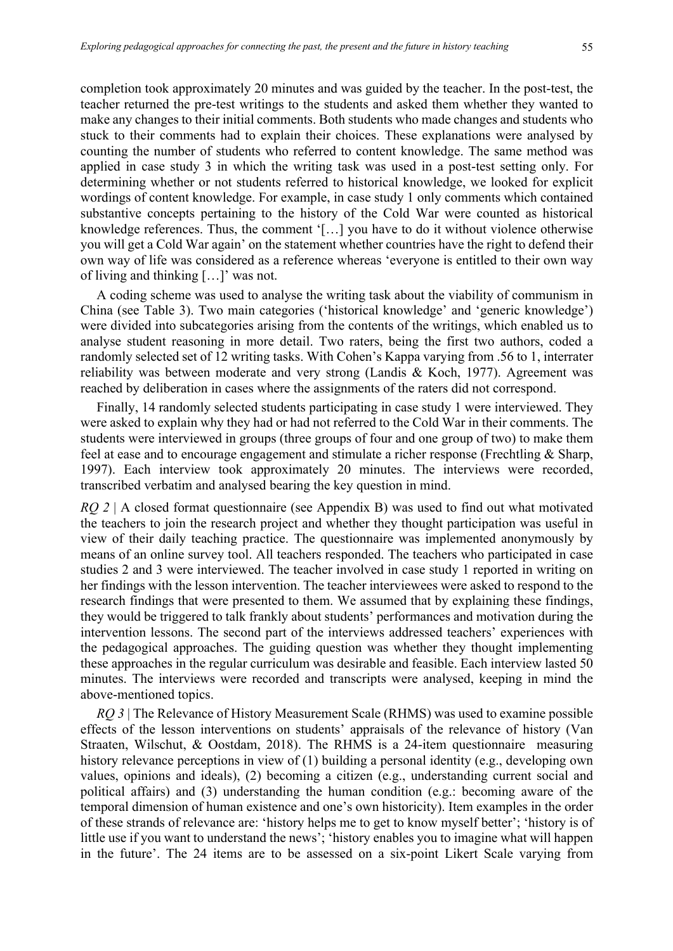completion took approximately 20 minutes and was guided by the teacher. In the post-test, the teacher returned the pre-test writings to the students and asked them whether they wanted to make any changes to their initial comments. Both students who made changes and students who stuck to their comments had to explain their choices. These explanations were analysed by counting the number of students who referred to content knowledge. The same method was applied in case study 3 in which the writing task was used in a post-test setting only. For determining whether or not students referred to historical knowledge, we looked for explicit wordings of content knowledge. For example, in case study 1 only comments which contained substantive concepts pertaining to the history of the Cold War were counted as historical knowledge references. Thus, the comment '[…] you have to do it without violence otherwise you will get a Cold War again' on the statement whether countries have the right to defend their own way of life was considered as a reference whereas 'everyone is entitled to their own way of living and thinking […]' was not.

A coding scheme was used to analyse the writing task about the viability of communism in China (see Table 3). Two main categories ('historical knowledge' and 'generic knowledge') were divided into subcategories arising from the contents of the writings, which enabled us to analyse student reasoning in more detail. Two raters, being the first two authors, coded a randomly selected set of 12 writing tasks. With Cohen's Kappa varying from .56 to 1, interrater reliability was between moderate and very strong (Landis & Koch, 1977). Agreement was reached by deliberation in cases where the assignments of the raters did not correspond.

Finally, 14 randomly selected students participating in case study 1 were interviewed. They were asked to explain why they had or had not referred to the Cold War in their comments. The students were interviewed in groups (three groups of four and one group of two) to make them feel at ease and to encourage engagement and stimulate a richer response (Frechtling & Sharp, 1997). Each interview took approximately 20 minutes. The interviews were recorded, transcribed verbatim and analysed bearing the key question in mind.

*RQ 2* | A closed format questionnaire (see Appendix B) was used to find out what motivated the teachers to join the research project and whether they thought participation was useful in view of their daily teaching practice. The questionnaire was implemented anonymously by means of an online survey tool. All teachers responded. The teachers who participated in case studies 2 and 3 were interviewed. The teacher involved in case study 1 reported in writing on her findings with the lesson intervention. The teacher interviewees were asked to respond to the research findings that were presented to them. We assumed that by explaining these findings, they would be triggered to talk frankly about students' performances and motivation during the intervention lessons. The second part of the interviews addressed teachers' experiences with the pedagogical approaches. The guiding question was whether they thought implementing these approaches in the regular curriculum was desirable and feasible. Each interview lasted 50 minutes. The interviews were recorded and transcripts were analysed, keeping in mind the above-mentioned topics.

*RQ 3* | The Relevance of History Measurement Scale (RHMS) was used to examine possible effects of the lesson interventions on students' appraisals of the relevance of history (Van Straaten, Wilschut, & Oostdam, 2018). The RHMS is a 24-item questionnaire measuring history relevance perceptions in view of (1) building a personal identity (e.g., developing own values, opinions and ideals), (2) becoming a citizen (e.g., understanding current social and political affairs) and (3) understanding the human condition (e.g.: becoming aware of the temporal dimension of human existence and one's own historicity). Item examples in the order of these strands of relevance are: 'history helps me to get to know myself better'; 'history is of little use if you want to understand the news'; 'history enables you to imagine what will happen in the future'. The 24 items are to be assessed on a six-point Likert Scale varying from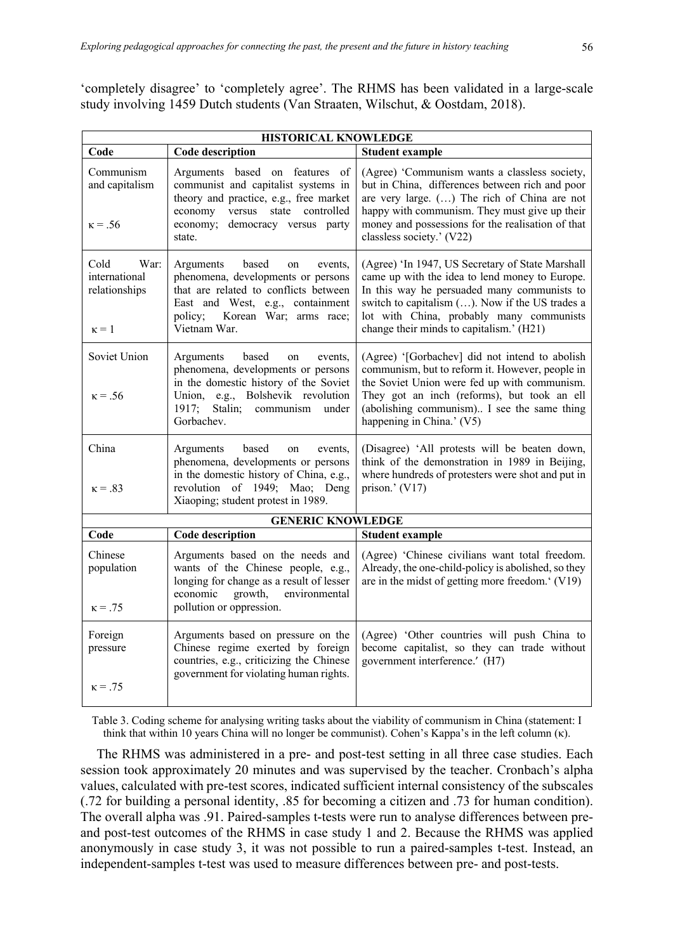'completely disagree' to 'completely agree'. The RHMS has been validated in a large-scale study involving 1459 Dutch students (Van Straaten, Wilschut, & Oostdam, 2018).

| HISTORICAL KNOWLEDGE                                           |                                                                                                                                                                                                             |                                                                                                                                                                                                                                                                                              |  |  |  |  |  |  |
|----------------------------------------------------------------|-------------------------------------------------------------------------------------------------------------------------------------------------------------------------------------------------------------|----------------------------------------------------------------------------------------------------------------------------------------------------------------------------------------------------------------------------------------------------------------------------------------------|--|--|--|--|--|--|
| Code                                                           | <b>Code description</b>                                                                                                                                                                                     | <b>Student example</b>                                                                                                                                                                                                                                                                       |  |  |  |  |  |  |
| Communism<br>and capitalism<br>$\kappa = .56$                  | Arguments based on features of<br>communist and capitalist systems in<br>theory and practice, e.g., free market<br>economy<br>versus state controlled<br>economy; democracy versus party<br>state.          | (Agree) 'Communism wants a classless society,<br>but in China, differences between rich and poor<br>are very large. () The rich of China are not<br>happy with communism. They must give up their<br>money and possessions for the realisation of that<br>classless society.' (V22)          |  |  |  |  |  |  |
| Cold<br>War:<br>international<br>relationships<br>$\kappa = 1$ | Arguments<br>based<br>on<br>events,<br>phenomena, developments or persons<br>that are related to conflicts between<br>East and West, e.g., containment<br>policy;<br>Korean War; arms race;<br>Vietnam War. | (Agree) 'In 1947, US Secretary of State Marshall<br>came up with the idea to lend money to Europe.<br>In this way he persuaded many communists to<br>switch to capitalism (). Now if the US trades a<br>lot with China, probably many communists<br>change their minds to capitalism.' (H21) |  |  |  |  |  |  |
| Soviet Union<br>$\kappa = .56$                                 | based<br>Arguments<br>on<br>events,<br>phenomena, developments or persons<br>in the domestic history of the Soviet<br>Union, e.g., Bolshevik revolution<br>1917; Stalin; communism under<br>Gorbachev.      | (Agree) '[Gorbachev] did not intend to abolish<br>communism, but to reform it. However, people in<br>the Soviet Union were fed up with communism.<br>They got an inch (reforms), but took an ell<br>(abolishing communism) I see the same thing<br>happening in China.' (V5)                 |  |  |  |  |  |  |
| China<br>$\kappa = .83$                                        | Arguments<br>based<br>on<br>events,<br>phenomena, developments or persons<br>in the domestic history of China, e.g.,<br>revolution of 1949; Mao; Deng<br>Xiaoping; student protest in 1989.                 | (Disagree) 'All protests will be beaten down,<br>think of the demonstration in 1989 in Beijing,<br>where hundreds of protesters were shot and put in<br>prison.' (V17)                                                                                                                       |  |  |  |  |  |  |
|                                                                | <b>GENERIC KNOWLEDGE</b>                                                                                                                                                                                    |                                                                                                                                                                                                                                                                                              |  |  |  |  |  |  |
| Code                                                           | Code description                                                                                                                                                                                            | <b>Student example</b>                                                                                                                                                                                                                                                                       |  |  |  |  |  |  |
| Chinese<br>population<br>$\kappa = .75$                        | Arguments based on the needs and<br>wants of the Chinese people, e.g.,<br>longing for change as a result of lesser<br>economic<br>growth,<br>environmental<br>pollution or oppression.                      | (Agree) 'Chinese civilians want total freedom.<br>Already, the one-child-policy is abolished, so they<br>are in the midst of getting more freedom.' (V19)                                                                                                                                    |  |  |  |  |  |  |
| Foreign<br>pressure<br>$\kappa = .75$                          | Arguments based on pressure on the<br>Chinese regime exerted by foreign<br>countries, e.g., criticizing the Chinese<br>government for violating human rights.                                               | (Agree) 'Other countries will push China to<br>become capitalist, so they can trade without<br>government interference.' (H7)                                                                                                                                                                |  |  |  |  |  |  |

Table 3. Coding scheme for analysing writing tasks about the viability of communism in China (statement: I think that within 10 years China will no longer be communist). Cohen's Kappa's in the left column (κ).

The RHMS was administered in a pre- and post-test setting in all three case studies. Each session took approximately 20 minutes and was supervised by the teacher. Cronbach's alpha values, calculated with pre-test scores, indicated sufficient internal consistency of the subscales (.72 for building a personal identity, .85 for becoming a citizen and .73 for human condition). The overall alpha was .91. Paired-samples t-tests were run to analyse differences between preand post-test outcomes of the RHMS in case study 1 and 2. Because the RHMS was applied anonymously in case study 3, it was not possible to run a paired-samples t-test. Instead, an independent-samples t-test was used to measure differences between pre- and post-tests.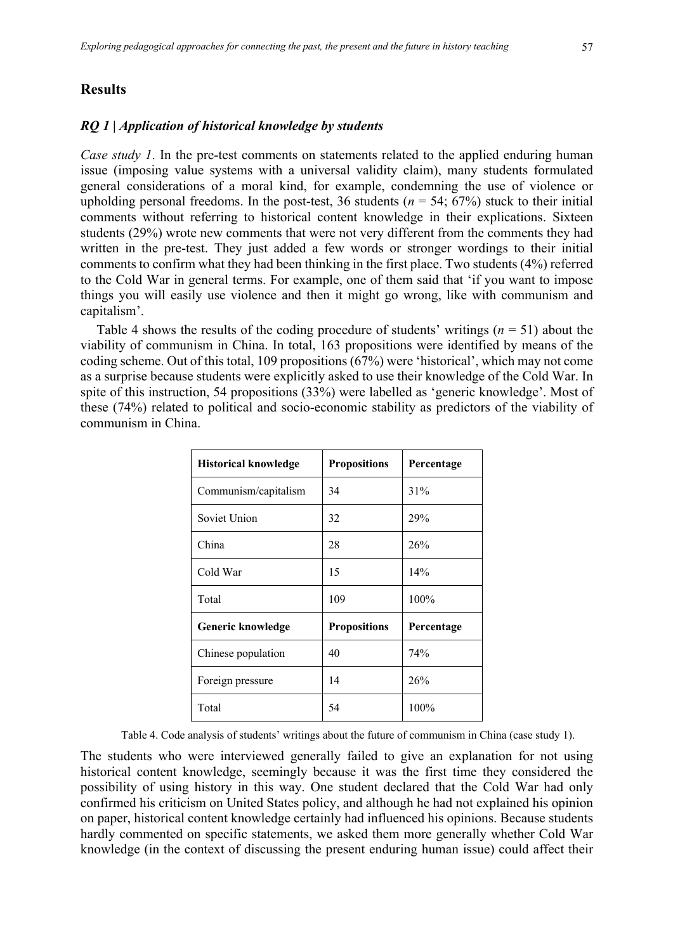# **Results**

#### *RQ 1 | Application of historical knowledge by students*

*Case study 1*. In the pre-test comments on statements related to the applied enduring human issue (imposing value systems with a universal validity claim), many students formulated general considerations of a moral kind, for example, condemning the use of violence or upholding personal freedoms. In the post-test, 36 students ( $n = 54$ ; 67%) stuck to their initial comments without referring to historical content knowledge in their explications. Sixteen students (29%) wrote new comments that were not very different from the comments they had written in the pre-test. They just added a few words or stronger wordings to their initial comments to confirm what they had been thinking in the first place. Two students (4%) referred to the Cold War in general terms. For example, one of them said that 'if you want to impose things you will easily use violence and then it might go wrong, like with communism and capitalism'.

Table 4 shows the results of the coding procedure of students' writings  $(n = 51)$  about the viability of communism in China. In total, 163 propositions were identified by means of the coding scheme. Out of this total, 109 propositions (67%) were 'historical', which may not come as a surprise because students were explicitly asked to use their knowledge of the Cold War. In spite of this instruction, 54 propositions (33%) were labelled as 'generic knowledge'. Most of these (74%) related to political and socio-economic stability as predictors of the viability of communism in China.

| <b>Historical knowledge</b> | <b>Propositions</b> | Percentage |  |  |
|-----------------------------|---------------------|------------|--|--|
| Communism/capitalism        | 34                  | 31%        |  |  |
| Soviet Union                | 32                  | 29%        |  |  |
| China                       | 28                  | 26%        |  |  |
| Cold War                    | 15                  | 14%        |  |  |
| Total                       | 109                 | 100%       |  |  |
| Generic knowledge           | <b>Propositions</b> | Percentage |  |  |
| Chinese population          | 40                  | 74%        |  |  |
| Foreign pressure            | 14                  | 26%        |  |  |
| Total                       | 54                  | 100%       |  |  |

Table 4. Code analysis of students' writings about the future of communism in China (case study 1).

The students who were interviewed generally failed to give an explanation for not using historical content knowledge, seemingly because it was the first time they considered the possibility of using history in this way. One student declared that the Cold War had only confirmed his criticism on United States policy, and although he had not explained his opinion on paper, historical content knowledge certainly had influenced his opinions. Because students hardly commented on specific statements, we asked them more generally whether Cold War knowledge (in the context of discussing the present enduring human issue) could affect their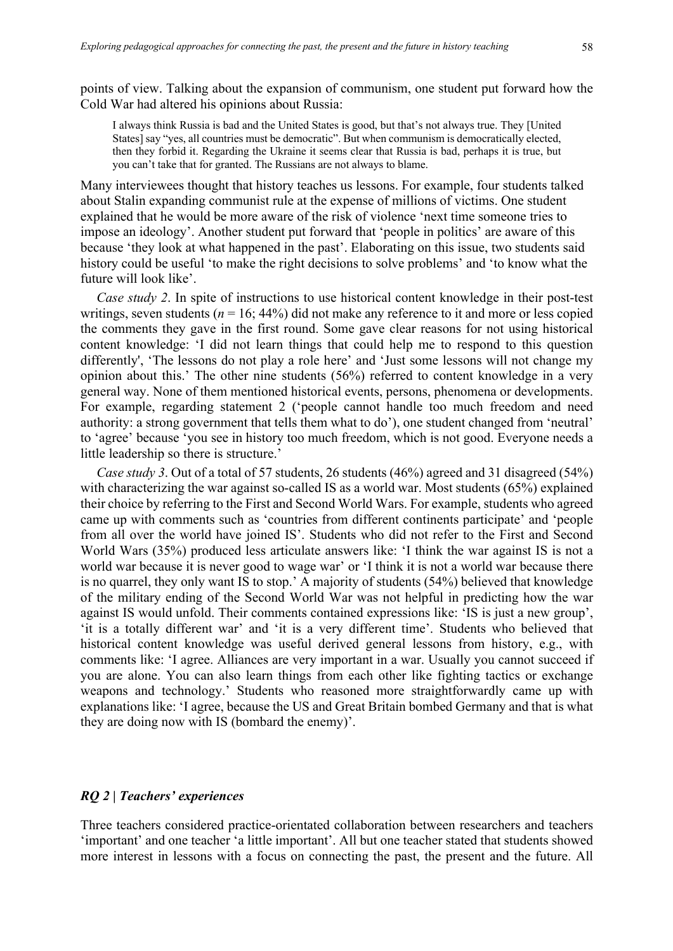points of view. Talking about the expansion of communism, one student put forward how the Cold War had altered his opinions about Russia:

I always think Russia is bad and the United States is good, but that's not always true. They [United States] say "yes, all countries must be democratic". But when communism is democratically elected, then they forbid it. Regarding the Ukraine it seems clear that Russia is bad, perhaps it is true, but you can't take that for granted. The Russians are not always to blame.

Many interviewees thought that history teaches us lessons. For example, four students talked about Stalin expanding communist rule at the expense of millions of victims. One student explained that he would be more aware of the risk of violence 'next time someone tries to impose an ideology'. Another student put forward that 'people in politics' are aware of this because 'they look at what happened in the past'. Elaborating on this issue, two students said history could be useful 'to make the right decisions to solve problems' and 'to know what the future will look like'.

*Case study 2.* In spite of instructions to use historical content knowledge in their post-test writings, seven students ( $n = 16$ ; 44%) did not make any reference to it and more or less copied the comments they gave in the first round. Some gave clear reasons for not using historical content knowledge: 'I did not learn things that could help me to respond to this question differently', 'The lessons do not play a role here' and 'Just some lessons will not change my opinion about this.' The other nine students (56%) referred to content knowledge in a very general way. None of them mentioned historical events, persons, phenomena or developments. For example, regarding statement 2 ('people cannot handle too much freedom and need authority: a strong government that tells them what to do'), one student changed from 'neutral' to 'agree' because 'you see in history too much freedom, which is not good. Everyone needs a little leadership so there is structure.'

*Case study 3*. Out of a total of 57 students, 26 students (46%) agreed and 31 disagreed (54%) with characterizing the war against so-called IS as a world war. Most students (65%) explained their choice by referring to the First and Second World Wars. For example, students who agreed came up with comments such as 'countries from different continents participate' and 'people from all over the world have joined IS'. Students who did not refer to the First and Second World Wars (35%) produced less articulate answers like: 'I think the war against IS is not a world war because it is never good to wage war' or 'I think it is not a world war because there is no quarrel, they only want IS to stop.' A majority of students (54%) believed that knowledge of the military ending of the Second World War was not helpful in predicting how the war against IS would unfold. Their comments contained expressions like: 'IS is just a new group', 'it is a totally different war' and 'it is a very different time'. Students who believed that historical content knowledge was useful derived general lessons from history, e.g., with comments like: 'I agree. Alliances are very important in a war. Usually you cannot succeed if you are alone. You can also learn things from each other like fighting tactics or exchange weapons and technology.' Students who reasoned more straightforwardly came up with explanations like: 'I agree, because the US and Great Britain bombed Germany and that is what they are doing now with IS (bombard the enemy)'.

# *RQ 2 | Teachers' experiences*

Three teachers considered practice-orientated collaboration between researchers and teachers 'important' and one teacher 'a little important'. All but one teacher stated that students showed more interest in lessons with a focus on connecting the past, the present and the future. All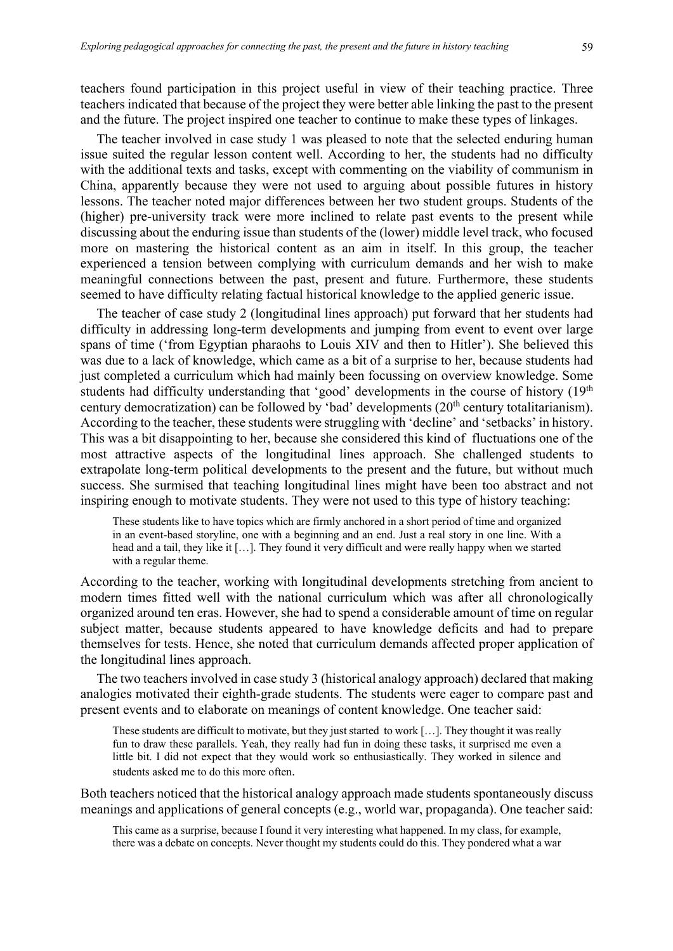teachers found participation in this project useful in view of their teaching practice. Three teachers indicated that because of the project they were better able linking the past to the present and the future. The project inspired one teacher to continue to make these types of linkages.

The teacher involved in case study 1 was pleased to note that the selected enduring human issue suited the regular lesson content well. According to her, the students had no difficulty with the additional texts and tasks, except with commenting on the viability of communism in China, apparently because they were not used to arguing about possible futures in history lessons. The teacher noted major differences between her two student groups. Students of the (higher) pre-university track were more inclined to relate past events to the present while discussing about the enduring issue than students of the (lower) middle level track, who focused more on mastering the historical content as an aim in itself. In this group, the teacher experienced a tension between complying with curriculum demands and her wish to make meaningful connections between the past, present and future. Furthermore, these students seemed to have difficulty relating factual historical knowledge to the applied generic issue.

The teacher of case study 2 (longitudinal lines approach) put forward that her students had difficulty in addressing long-term developments and jumping from event to event over large spans of time ('from Egyptian pharaohs to Louis XIV and then to Hitler'). She believed this was due to a lack of knowledge, which came as a bit of a surprise to her, because students had just completed a curriculum which had mainly been focussing on overview knowledge. Some students had difficulty understanding that 'good' developments in the course of history (19<sup>th</sup>) century democratization) can be followed by 'bad' developments (20<sup>th</sup> century totalitarianism). According to the teacher, these students were struggling with 'decline' and 'setbacks' in history. This was a bit disappointing to her, because she considered this kind of fluctuations one of the most attractive aspects of the longitudinal lines approach. She challenged students to extrapolate long-term political developments to the present and the future, but without much success. She surmised that teaching longitudinal lines might have been too abstract and not inspiring enough to motivate students. They were not used to this type of history teaching:

These students like to have topics which are firmly anchored in a short period of time and organized in an event-based storyline, one with a beginning and an end. Just a real story in one line. With a head and a tail, they like it […]. They found it very difficult and were really happy when we started with a regular theme.

According to the teacher, working with longitudinal developments stretching from ancient to modern times fitted well with the national curriculum which was after all chronologically organized around ten eras. However, she had to spend a considerable amount of time on regular subject matter, because students appeared to have knowledge deficits and had to prepare themselves for tests. Hence, she noted that curriculum demands affected proper application of the longitudinal lines approach.

The two teachers involved in case study 3 (historical analogy approach) declared that making analogies motivated their eighth-grade students. The students were eager to compare past and present events and to elaborate on meanings of content knowledge. One teacher said:

These students are difficult to motivate, but they just started to work […]. They thought it was really fun to draw these parallels. Yeah, they really had fun in doing these tasks, it surprised me even a little bit. I did not expect that they would work so enthusiastically. They worked in silence and students asked me to do this more often.

Both teachers noticed that the historical analogy approach made students spontaneously discuss meanings and applications of general concepts (e.g., world war, propaganda). One teacher said:

This came as a surprise, because I found it very interesting what happened. In my class, for example, there was a debate on concepts. Never thought my students could do this. They pondered what a war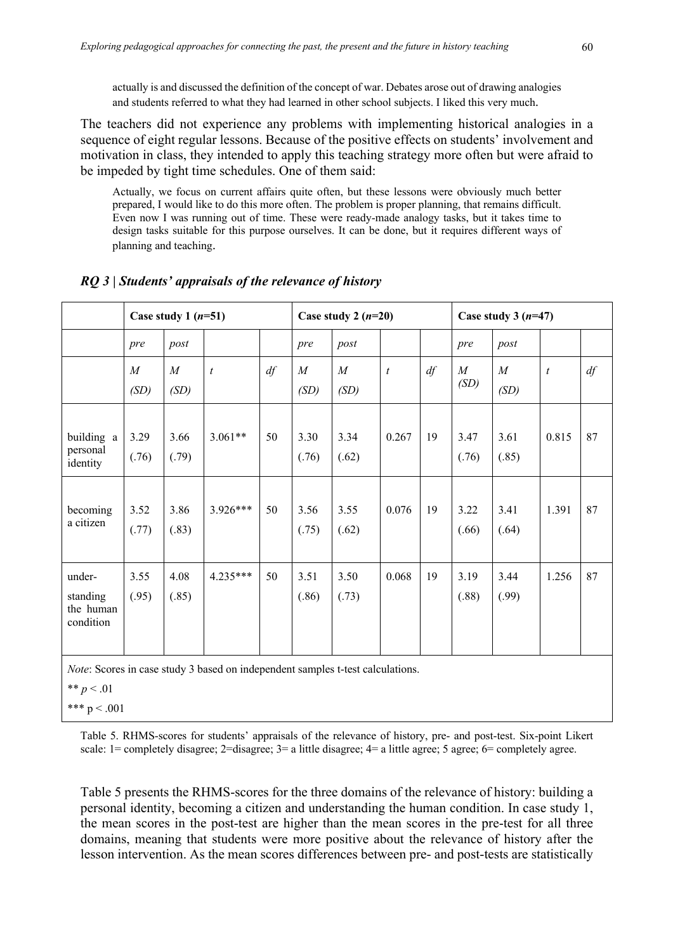actually is and discussed the definition of the concept of war. Debates arose out of drawing analogies and students referred to what they had learned in other school subjects. I liked this very much.

The teachers did not experience any problems with implementing historical analogies in a sequence of eight regular lessons. Because of the positive effects on students' involvement and motivation in class, they intended to apply this teaching strategy more often but were afraid to be impeded by tight time schedules. One of them said:

Actually, we focus on current affairs quite often, but these lessons were obviously much better prepared, I would like to do this more often. The problem is proper planning, that remains difficult. Even now I was running out of time. These were ready-made analogy tasks, but it takes time to design tasks suitable for this purpose ourselves. It can be done, but it requires different ways of planning and teaching.

|                                                                                | Case study 1 $(n=51)$    |                          |                  |    | Case study 2 $(n=20)$    |                          |                  | Case study $3(n=47)$ |                          |                          |                |    |
|--------------------------------------------------------------------------------|--------------------------|--------------------------|------------------|----|--------------------------|--------------------------|------------------|----------------------|--------------------------|--------------------------|----------------|----|
|                                                                                | pre                      | post                     |                  |    | pre                      | post                     |                  |                      | pre                      | post                     |                |    |
|                                                                                | $\boldsymbol{M}$<br>(SD) | $\boldsymbol{M}$<br>(SD) | $\boldsymbol{t}$ | df | $\boldsymbol{M}$<br>(SD) | $\boldsymbol{M}$<br>(SD) | $\boldsymbol{t}$ | df                   | $\boldsymbol{M}$<br>(SD) | $\boldsymbol{M}$<br>(SD) | $\mathfrak{t}$ | df |
| building a<br>personal<br>identity                                             | 3.29<br>(.76)            | 3.66<br>(.79)            | $3.061**$        | 50 | 3.30<br>(.76)            | 3.34<br>(.62)            | 0.267            | 19                   | 3.47<br>(.76)            | 3.61<br>(.85)            | 0.815          | 87 |
| becoming<br>a citizen                                                          | 3.52<br>(.77)            | 3.86<br>(.83)            | 3.926***         | 50 | 3.56<br>(.75)            | 3.55<br>(.62)            | 0.076            | 19                   | 3.22<br>(.66)            | 3.41<br>(.64)            | 1.391          | 87 |
| under-<br>standing<br>the human<br>condition                                   | 3.55<br>(.95)            | 4.08<br>(.85)            | $4.235***$       | 50 | 3.51<br>(.86)            | 3.50<br>(.73)            | 0.068            | 19                   | 3.19<br>(.88)            | 3.44<br>(.99)            | 1.256          | 87 |
| Note: Scores in case study 3 based on independent samples t-test calculations. |                          |                          |                  |    |                          |                          |                  |                      |                          |                          |                |    |

*RQ 3 | Students' appraisals of the relevance of history*

\*\*  $p < .01$ 

\*\*\*  $p < .001$ 

Table 5. RHMS-scores for students' appraisals of the relevance of history, pre- and post-test. Six-point Likert scale: 1= completely disagree; 2=disagree; 3= a little disagree; 4= a little agree; 5 agree; 6= completely agree.

Table 5 presents the RHMS-scores for the three domains of the relevance of history: building a personal identity, becoming a citizen and understanding the human condition. In case study 1, the mean scores in the post-test are higher than the mean scores in the pre-test for all three domains, meaning that students were more positive about the relevance of history after the lesson intervention. As the mean scores differences between pre- and post-tests are statistically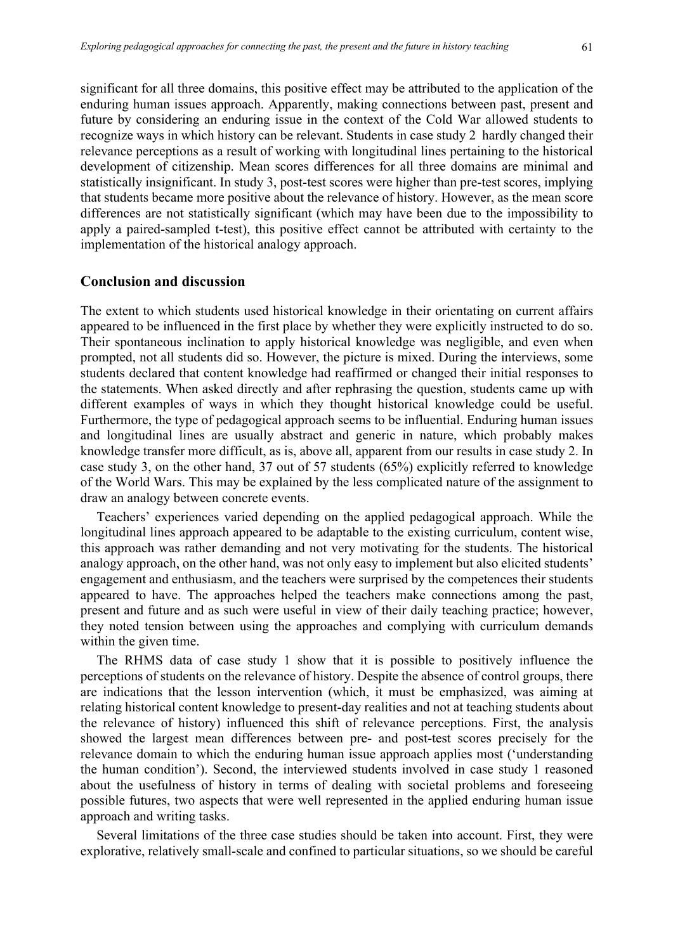significant for all three domains, this positive effect may be attributed to the application of the enduring human issues approach. Apparently, making connections between past, present and future by considering an enduring issue in the context of the Cold War allowed students to recognize ways in which history can be relevant. Students in case study 2 hardly changed their relevance perceptions as a result of working with longitudinal lines pertaining to the historical development of citizenship. Mean scores differences for all three domains are minimal and statistically insignificant. In study 3, post-test scores were higher than pre-test scores, implying that students became more positive about the relevance of history. However, as the mean score differences are not statistically significant (which may have been due to the impossibility to apply a paired-sampled t-test), this positive effect cannot be attributed with certainty to the implementation of the historical analogy approach.

### **Conclusion and discussion**

The extent to which students used historical knowledge in their orientating on current affairs appeared to be influenced in the first place by whether they were explicitly instructed to do so. Their spontaneous inclination to apply historical knowledge was negligible, and even when prompted, not all students did so. However, the picture is mixed. During the interviews, some students declared that content knowledge had reaffirmed or changed their initial responses to the statements. When asked directly and after rephrasing the question, students came up with different examples of ways in which they thought historical knowledge could be useful. Furthermore, the type of pedagogical approach seems to be influential. Enduring human issues and longitudinal lines are usually abstract and generic in nature, which probably makes knowledge transfer more difficult, as is, above all, apparent from our results in case study 2. In case study 3, on the other hand, 37 out of 57 students (65%) explicitly referred to knowledge of the World Wars. This may be explained by the less complicated nature of the assignment to draw an analogy between concrete events.

Teachers' experiences varied depending on the applied pedagogical approach. While the longitudinal lines approach appeared to be adaptable to the existing curriculum, content wise, this approach was rather demanding and not very motivating for the students. The historical analogy approach, on the other hand, was not only easy to implement but also elicited students' engagement and enthusiasm, and the teachers were surprised by the competences their students appeared to have. The approaches helped the teachers make connections among the past, present and future and as such were useful in view of their daily teaching practice; however, they noted tension between using the approaches and complying with curriculum demands within the given time.

The RHMS data of case study 1 show that it is possible to positively influence the perceptions of students on the relevance of history. Despite the absence of control groups, there are indications that the lesson intervention (which, it must be emphasized, was aiming at relating historical content knowledge to present-day realities and not at teaching students about the relevance of history) influenced this shift of relevance perceptions. First, the analysis showed the largest mean differences between pre- and post-test scores precisely for the relevance domain to which the enduring human issue approach applies most ('understanding the human condition'). Second, the interviewed students involved in case study 1 reasoned about the usefulness of history in terms of dealing with societal problems and foreseeing possible futures, two aspects that were well represented in the applied enduring human issue approach and writing tasks.

Several limitations of the three case studies should be taken into account. First, they were explorative, relatively small-scale and confined to particular situations, so we should be careful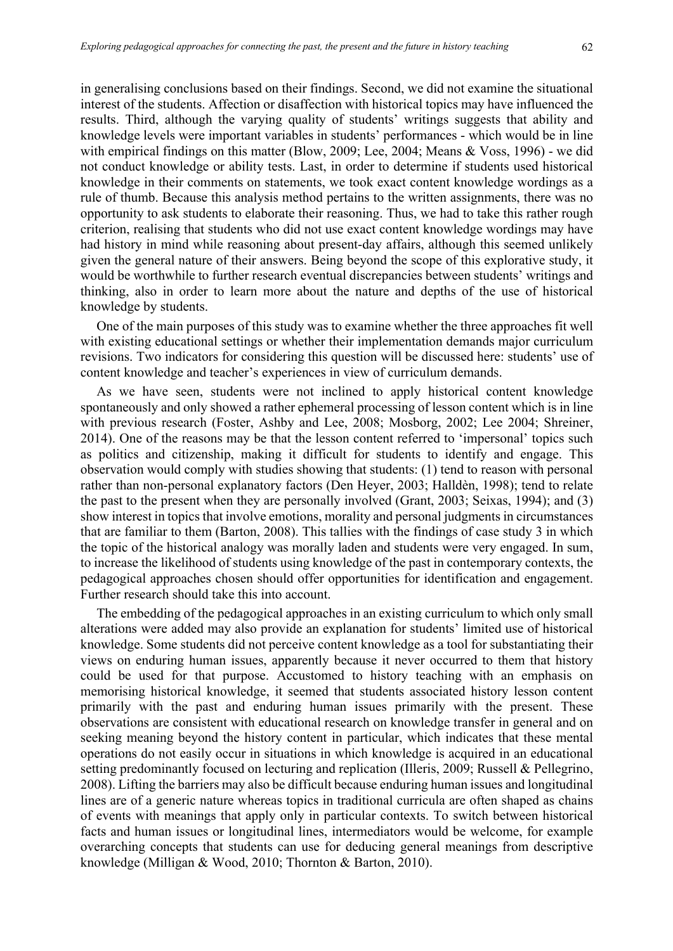in generalising conclusions based on their findings. Second, we did not examine the situational interest of the students. Affection or disaffection with historical topics may have influenced the results. Third, although the varying quality of students' writings suggests that ability and knowledge levels were important variables in students' performances - which would be in line with empirical findings on this matter (Blow, 2009; Lee, 2004; Means & Voss, 1996) - we did not conduct knowledge or ability tests. Last, in order to determine if students used historical knowledge in their comments on statements, we took exact content knowledge wordings as a rule of thumb. Because this analysis method pertains to the written assignments, there was no opportunity to ask students to elaborate their reasoning. Thus, we had to take this rather rough criterion, realising that students who did not use exact content knowledge wordings may have had history in mind while reasoning about present-day affairs, although this seemed unlikely given the general nature of their answers. Being beyond the scope of this explorative study, it would be worthwhile to further research eventual discrepancies between students' writings and thinking, also in order to learn more about the nature and depths of the use of historical knowledge by students.

One of the main purposes of this study was to examine whether the three approaches fit well with existing educational settings or whether their implementation demands major curriculum revisions. Two indicators for considering this question will be discussed here: students' use of content knowledge and teacher's experiences in view of curriculum demands.

As we have seen, students were not inclined to apply historical content knowledge spontaneously and only showed a rather ephemeral processing of lesson content which is in line with previous research (Foster, Ashby and Lee, 2008; Mosborg, 2002; Lee 2004; Shreiner, 2014). One of the reasons may be that the lesson content referred to 'impersonal' topics such as politics and citizenship, making it difficult for students to identify and engage. This observation would comply with studies showing that students: (1) tend to reason with personal rather than non-personal explanatory factors (Den Heyer, 2003; Halldèn, 1998); tend to relate the past to the present when they are personally involved (Grant, 2003; Seixas, 1994); and (3) show interest in topics that involve emotions, morality and personal judgments in circumstances that are familiar to them (Barton, 2008). This tallies with the findings of case study 3 in which the topic of the historical analogy was morally laden and students were very engaged. In sum, to increase the likelihood of students using knowledge of the past in contemporary contexts, the pedagogical approaches chosen should offer opportunities for identification and engagement. Further research should take this into account.

The embedding of the pedagogical approaches in an existing curriculum to which only small alterations were added may also provide an explanation for students' limited use of historical knowledge. Some students did not perceive content knowledge as a tool for substantiating their views on enduring human issues, apparently because it never occurred to them that history could be used for that purpose. Accustomed to history teaching with an emphasis on memorising historical knowledge, it seemed that students associated history lesson content primarily with the past and enduring human issues primarily with the present. These observations are consistent with educational research on knowledge transfer in general and on seeking meaning beyond the history content in particular, which indicates that these mental operations do not easily occur in situations in which knowledge is acquired in an educational setting predominantly focused on lecturing and replication (Illeris, 2009; Russell & Pellegrino, 2008). Lifting the barriers may also be difficult because enduring human issues and longitudinal lines are of a generic nature whereas topics in traditional curricula are often shaped as chains of events with meanings that apply only in particular contexts. To switch between historical facts and human issues or longitudinal lines, intermediators would be welcome, for example overarching concepts that students can use for deducing general meanings from descriptive knowledge (Milligan & Wood, 2010; Thornton & Barton, 2010).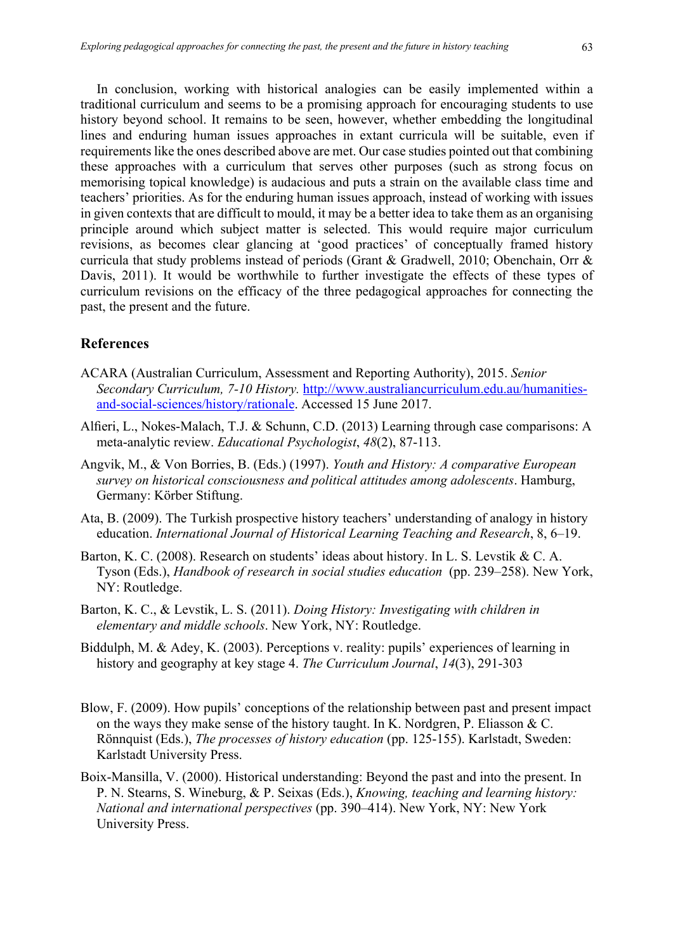In conclusion, working with historical analogies can be easily implemented within a traditional curriculum and seems to be a promising approach for encouraging students to use history beyond school. It remains to be seen, however, whether embedding the longitudinal lines and enduring human issues approaches in extant curricula will be suitable, even if requirements like the ones described above are met. Our case studies pointed out that combining these approaches with a curriculum that serves other purposes (such as strong focus on memorising topical knowledge) is audacious and puts a strain on the available class time and teachers' priorities. As for the enduring human issues approach, instead of working with issues in given contexts that are difficult to mould, it may be a better idea to take them as an organising principle around which subject matter is selected. This would require major curriculum revisions, as becomes clear glancing at 'good practices' of conceptually framed history curricula that study problems instead of periods (Grant & Gradwell, 2010; Obenchain, Orr & Davis, 2011). It would be worthwhile to further investigate the effects of these types of curriculum revisions on the efficacy of the three pedagogical approaches for connecting the past, the present and the future.

# **References**

- ACARA (Australian Curriculum, Assessment and Reporting Authority), 2015. *Senior Secondary Curriculum, 7-10 History.* http://www.australiancurriculum.edu.au/humanitiesand-social-sciences/history/rationale. Accessed 15 June 2017.
- Alfieri, L., Nokes-Malach, T.J. & Schunn, C.D. (2013) Learning through case comparisons: A meta-analytic review. *Educational Psychologist*, *48*(2), 87-113.
- Angvik, M., & Von Borries, B. (Eds.) (1997). *Youth and History: A comparative European survey on historical consciousness and political attitudes among adolescents*. Hamburg, Germany: Körber Stiftung.
- Ata, B. (2009). The Turkish prospective history teachers' understanding of analogy in history education. *International Journal of Historical Learning Teaching and Research*, 8, 6–19.
- Barton, K. C. (2008). Research on students' ideas about history. In L. S. Levstik & C. A. Tyson (Eds.), *Handbook of research in social studies education* (pp. 239–258). New York, NY: Routledge.
- Barton, K. C., & Levstik, L. S. (2011). *Doing History: Investigating with children in elementary and middle schools*. New York, NY: Routledge.
- Biddulph, M. & Adey, K. (2003). Perceptions v. reality: pupils' experiences of learning in history and geography at key stage 4. *The Curriculum Journal*, *14*(3), 291-303
- Blow, F. (2009). How pupils' conceptions of the relationship between past and present impact on the ways they make sense of the history taught. In K. Nordgren, P. Eliasson & C. Rönnquist (Eds.), *The processes of history education* (pp. 125-155). Karlstadt, Sweden: Karlstadt University Press.
- Boix-Mansilla, V. (2000). Historical understanding: Beyond the past and into the present. In P. N. Stearns, S. Wineburg, & P. Seixas (Eds.), *Knowing, teaching and learning history: National and international perspectives* (pp. 390–414). New York, NY: New York University Press.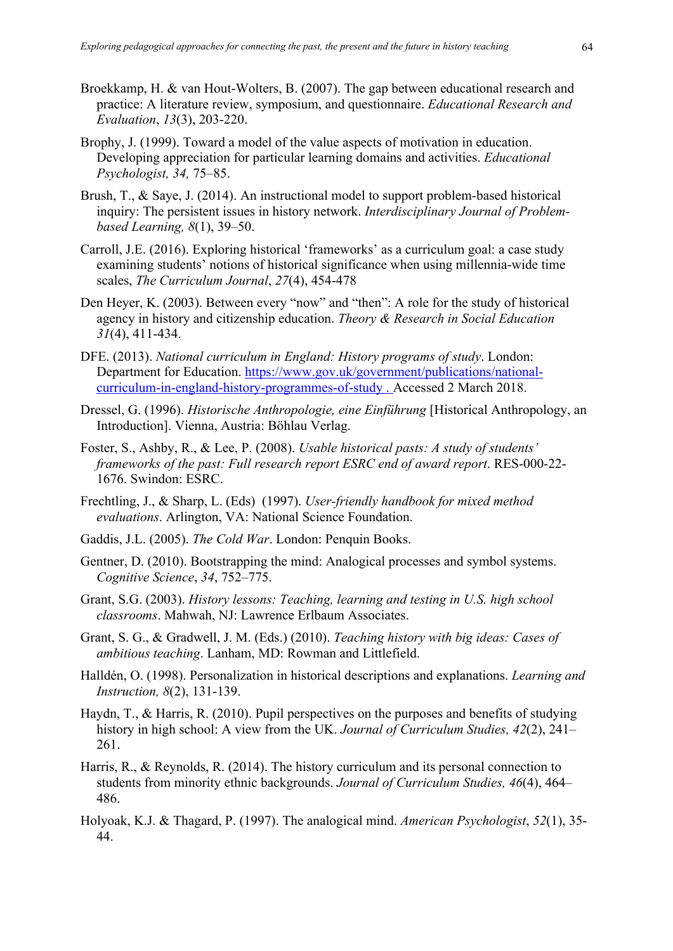- Broekkamp, H. & van Hout-Wolters, B. (2007). The gap between educational research and practice: A literature review, symposium, and questionnaire. *Educational Research and Evaluation*, *13*(3), 203-220.
- Brophy, J. (1999). Toward a model of the value aspects of motivation in education. Developing appreciation for particular learning domains and activities. *Educational Psychologist, 34,* 75–85.
- Brush, T., & Saye, J. (2014). An instructional model to support problem-based historical inquiry: The persistent issues in history network. *Interdisciplinary Journal of Problembased Learning, 8*(1), 39–50.
- Carroll, J.E. (2016). Exploring historical 'frameworks' as a curriculum goal: a case study examining students' notions of historical significance when using millennia-wide time scales, *The Curriculum Journal*, *27*(4), 454-478
- Den Heyer, K. (2003). Between every "now" and "then": A role for the study of historical agency in history and citizenship education. *Theory & Research in Social Education 31*(4), 411-434.
- DFE. (2013). *National curriculum in England: History programs of study*. London: Department for Education. https://www.gov.uk/government/publications/nationalcurriculum-in-england-history-programmes-of-study . Accessed 2 March 2018.
- Dressel, G. (1996). *Historische Anthropologie, eine Einführung* [Historical Anthropology, an Introduction]. Vienna, Austria: Böhlau Verlag.
- Foster, S., Ashby, R., & Lee, P. (2008). *Usable historical pasts: A study of students' frameworks of the past: Full research report ESRC end of award report*. RES-000-22- 1676. Swindon: ESRC.
- Frechtling, J., & Sharp, L. (Eds) (1997). *User-friendly handbook for mixed method evaluations*. Arlington, VA: National Science Foundation.
- Gaddis, J.L. (2005). *The Cold War*. London: Penquin Books.
- Gentner, D. (2010). Bootstrapping the mind: Analogical processes and symbol systems. *Cognitive Science*, *34*, 752–775.
- Grant, S.G. (2003). *History lessons: Teaching, learning and testing in U.S. high school classrooms*. Mahwah, NJ: Lawrence Erlbaum Associates.
- Grant, S. G., & Gradwell, J. M. (Eds.) (2010). *Teaching history with big ideas: Cases of ambitious teaching*. Lanham, MD: Rowman and Littlefield.
- Halldén, O. (1998). Personalization in historical descriptions and explanations. *Learning and Instruction, 8*(2), 131-139.
- Haydn, T., & Harris, R. (2010). Pupil perspectives on the purposes and benefits of studying history in high school: A view from the UK. *Journal of Curriculum Studies, 42*(2), 241– 261.
- Harris, R., & Reynolds, R. (2014). The history curriculum and its personal connection to students from minority ethnic backgrounds. *Journal of Curriculum Studies, 46*(4), 464– 486.
- Holyoak, K.J. & Thagard, P. (1997). The analogical mind. *American Psychologist*, *52*(1), 35- 44.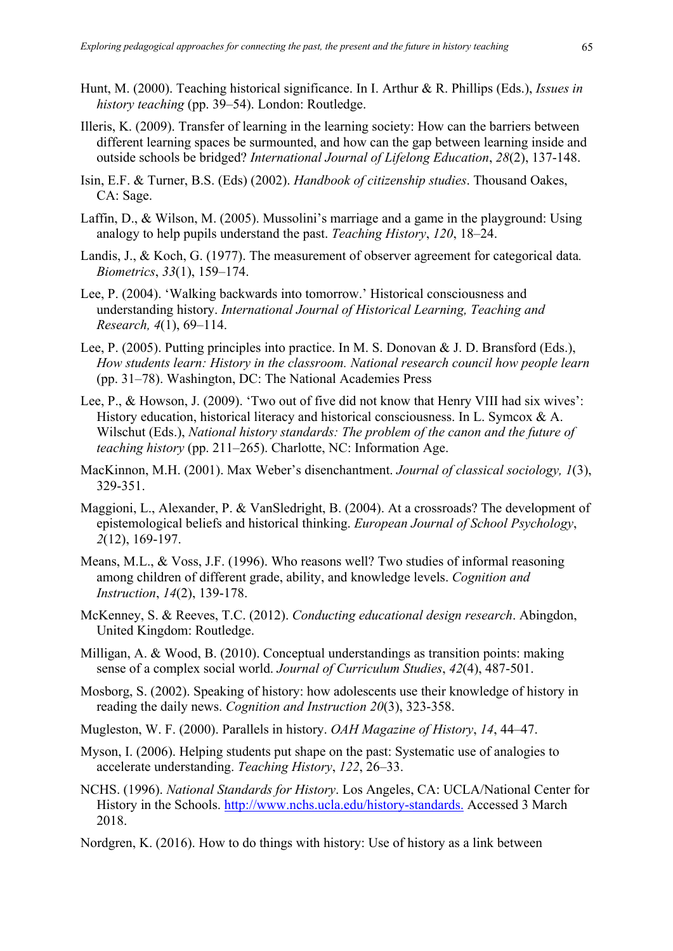- Hunt, M. (2000). Teaching historical significance. In I. Arthur & R. Phillips (Eds.), *Issues in history teaching* (pp. 39–54). London: Routledge.
- Illeris, K. (2009). Transfer of learning in the learning society: How can the barriers between different learning spaces be surmounted, and how can the gap between learning inside and outside schools be bridged? *International Journal of Lifelong Education*, *28*(2), 137-148.
- Isin, E.F. & Turner, B.S. (Eds) (2002). *Handbook of citizenship studies*. Thousand Oakes, CA: Sage.
- Laffin, D., & Wilson, M. (2005). Mussolini's marriage and a game in the playground: Using analogy to help pupils understand the past. *Teaching History*, *120*, 18–24.
- Landis, J., & Koch, G. (1977). The measurement of observer agreement for categorical data*. Biometrics*, *33*(1), 159–174.
- Lee, P. (2004). 'Walking backwards into tomorrow.' Historical consciousness and understanding history. *International Journal of Historical Learning, Teaching and Research, 4*(1), 69–114.
- Lee, P. (2005). Putting principles into practice. In M. S. Donovan & J. D. Bransford (Eds.), *How students learn: History in the classroom. National research council how people learn*  (pp. 31–78). Washington, DC: The National Academies Press
- Lee, P., & Howson, J. (2009). 'Two out of five did not know that Henry VIII had six wives': History education, historical literacy and historical consciousness. In L. Symcox & A. Wilschut (Eds.), *National history standards: The problem of the canon and the future of teaching history* (pp. 211–265). Charlotte, NC: Information Age.
- MacKinnon, M.H. (2001). Max Weber's disenchantment. *Journal of classical sociology, 1*(3), 329-351.
- Maggioni, L., Alexander, P. & VanSledright, B. (2004). At a crossroads? The development of epistemological beliefs and historical thinking. *European Journal of School Psychology*, *2*(12), 169-197.
- Means, M.L., & Voss, J.F. (1996). Who reasons well? Two studies of informal reasoning among children of different grade, ability, and knowledge levels. *Cognition and Instruction*, *14*(2), 139-178.
- McKenney, S. & Reeves, T.C. (2012). *Conducting educational design research*. Abingdon, United Kingdom: Routledge.
- Milligan, A. & Wood, B. (2010). Conceptual understandings as transition points: making sense of a complex social world. *Journal of Curriculum Studies*, *42*(4), 487-501.
- Mosborg, S. (2002). Speaking of history: how adolescents use their knowledge of history in reading the daily news. *Cognition and Instruction 20*(3), 323-358.
- Mugleston, W. F. (2000). Parallels in history. *OAH Magazine of History*, *14*, 44–47.
- Myson, I. (2006). Helping students put shape on the past: Systematic use of analogies to accelerate understanding. *Teaching History*, *122*, 26–33.
- NCHS. (1996). *National Standards for History*. Los Angeles, CA: UCLA/National Center for History in the Schools. http://www.nchs.ucla.edu/history-standards. Accessed 3 March 2018.
- Nordgren, K. (2016). How to do things with history: Use of history as a link between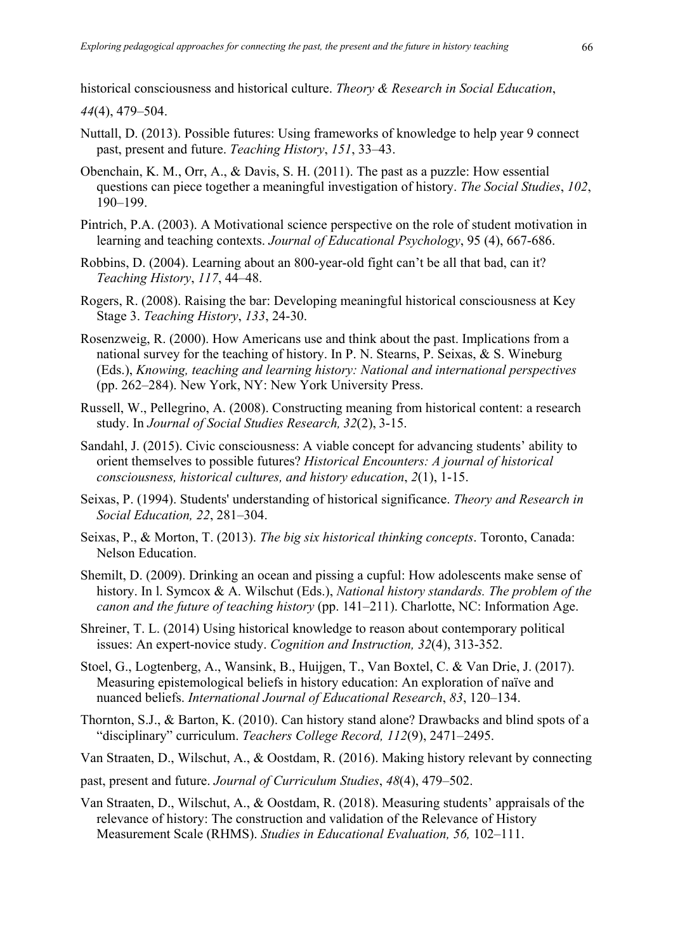historical consciousness and historical culture. *Theory & Research in Social Education*,

*44*(4), 479–504.

- Nuttall, D. (2013). Possible futures: Using frameworks of knowledge to help year 9 connect past, present and future. *Teaching History*, *151*, 33–43.
- Obenchain, K. M., Orr, A., & Davis, S. H. (2011). The past as a puzzle: How essential questions can piece together a meaningful investigation of history. *The Social Studies*, *102*, 190–199.
- Pintrich, P.A. (2003). A Motivational science perspective on the role of student motivation in learning and teaching contexts. *Journal of Educational Psychology*, 95 (4), 667-686.
- Robbins, D. (2004). Learning about an 800-year-old fight can't be all that bad, can it? *Teaching History*, *117*, 44–48.
- Rogers, R. (2008). Raising the bar: Developing meaningful historical consciousness at Key Stage 3. *Teaching History*, *133*, 24-30.
- Rosenzweig, R. (2000). How Americans use and think about the past. Implications from a national survey for the teaching of history. In P. N. Stearns, P. Seixas, & S. Wineburg (Eds.), *Knowing, teaching and learning history: National and international perspectives*  (pp. 262–284). New York, NY: New York University Press.
- Russell, W., Pellegrino, A. (2008). Constructing meaning from historical content: a research study. In *Journal of Social Studies Research, 32*(2), 3-15.
- Sandahl, J. (2015). Civic consciousness: A viable concept for advancing students' ability to orient themselves to possible futures? *Historical Encounters: A journal of historical consciousness, historical cultures, and history education*, *2*(1), 1-15.
- Seixas, P. (1994). Students' understanding of historical significance. *Theory and Research in Social Education, 22*, 281–304.
- Seixas, P., & Morton, T. (2013). *The big six historical thinking concepts*. Toronto, Canada: Nelson Education.
- Shemilt, D. (2009). Drinking an ocean and pissing a cupful: How adolescents make sense of history. In l. Symcox & A. Wilschut (Eds.), *National history standards. The problem of the canon and the future of teaching history* (pp. 141–211). Charlotte, NC: Information Age.
- Shreiner, T. L. (2014) Using historical knowledge to reason about contemporary political issues: An expert-novice study. *Cognition and Instruction, 32*(4), 313-352.
- Stoel, G., Logtenberg, A., Wansink, B., Huijgen, T., Van Boxtel, C. & Van Drie, J. (2017). Measuring epistemological beliefs in history education: An exploration of naïve and nuanced beliefs. *International Journal of Educational Research*, *83*, 120–134.
- Thornton, S.J., & Barton, K. (2010). Can history stand alone? Drawbacks and blind spots of a "disciplinary" curriculum. *Teachers College Record, 112*(9), 2471–2495.
- Van Straaten, D., Wilschut, A., & Oostdam, R. (2016). Making history relevant by connecting
- past, present and future. *Journal of Curriculum Studies*, *48*(4), 479–502.
- Van Straaten, D., Wilschut, A., & Oostdam, R. (2018). Measuring students' appraisals of the relevance of history: The construction and validation of the Relevance of History Measurement Scale (RHMS). *Studies in Educational Evaluation, 56,* 102–111.